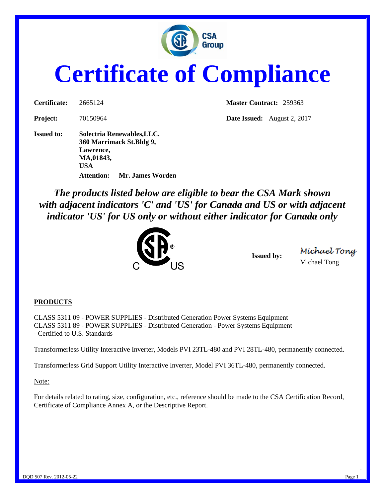

## **Certificate of Compliance**

**Project:** 70150964 **Date Issued:** August 2, 2017 **Issued to: Solectria Renewables,LLC. 360 Marrimack St.Bldg 9, Lawrence, MA,01843, USA**

**Certificate:** 2665124 **Master Contract:** 259363

*The products listed below are eligible to bear the CSA Mark shown with adjacent indicators 'C' and 'US' for Canada and US or with adjacent indicator 'US' for US only or without either indicator for Canada only* 



**Attention: Mr. James Worden**

**Issued by:**

Míchael Tong Michael Tong

## **PRODUCTS**

CLASS 5311 09 - POWER SUPPLIES - Distributed Generation Power Systems Equipment CLASS 5311 89 - POWER SUPPLIES - Distributed Generation - Power Systems Equipment - Certified to U.S. Standards

Transformerless Utility Interactive Inverter, Models PVI 23TL-480 and PVI 28TL-480, permanently connected.

Transformerless Grid Support Utility Interactive Inverter, Model PVI 36TL-480, permanently connected.

Note:

For details related to rating, size, configuration, etc., reference should be made to the CSA Certification Record, Certificate of Compliance Annex A, or the Descriptive Report.